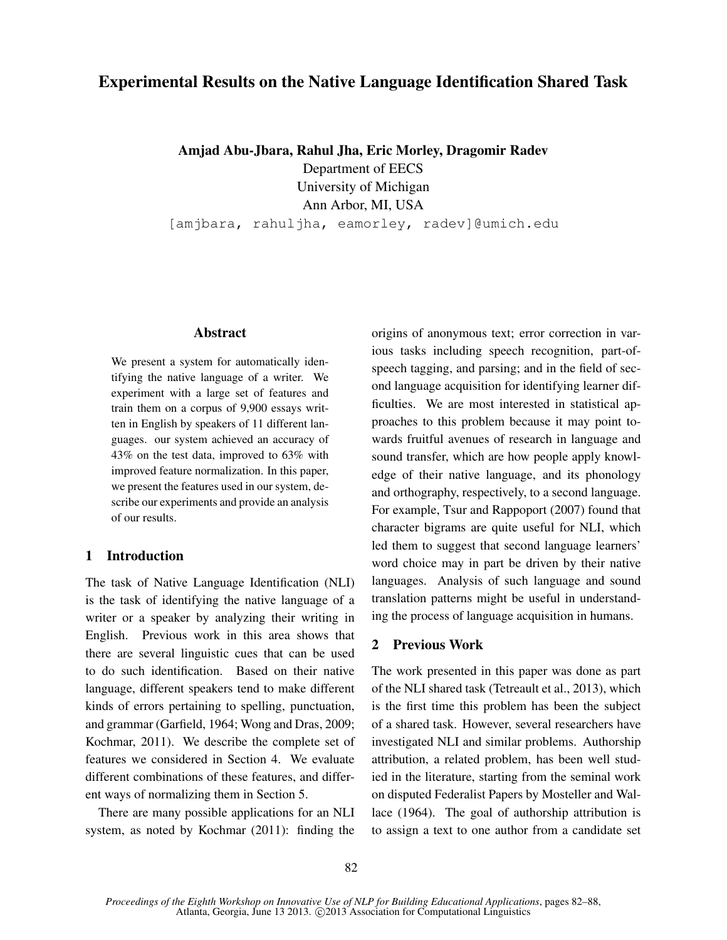# Experimental Results on the Native Language Identification Shared Task

Amjad Abu-Jbara, Rahul Jha, Eric Morley, Dragomir Radev

Department of EECS

University of Michigan Ann Arbor, MI, USA

[amjbara, rahuljha, eamorley, radev]@umich.edu

# Abstract

We present a system for automatically identifying the native language of a writer. We experiment with a large set of features and train them on a corpus of 9,900 essays written in English by speakers of 11 different languages. our system achieved an accuracy of 43% on the test data, improved to 63% with improved feature normalization. In this paper, we present the features used in our system, describe our experiments and provide an analysis of our results.

# 1 Introduction

The task of Native Language Identification (NLI) is the task of identifying the native language of a writer or a speaker by analyzing their writing in English. Previous work in this area shows that there are several linguistic cues that can be used to do such identification. Based on their native language, different speakers tend to make different kinds of errors pertaining to spelling, punctuation, and grammar (Garfield, 1964; Wong and Dras, 2009; Kochmar, 2011). We describe the complete set of features we considered in Section 4. We evaluate different combinations of these features, and different ways of normalizing them in Section 5.

There are many possible applications for an NLI system, as noted by Kochmar (2011): finding the origins of anonymous text; error correction in various tasks including speech recognition, part-ofspeech tagging, and parsing; and in the field of second language acquisition for identifying learner difficulties. We are most interested in statistical approaches to this problem because it may point towards fruitful avenues of research in language and sound transfer, which are how people apply knowledge of their native language, and its phonology and orthography, respectively, to a second language. For example, Tsur and Rappoport (2007) found that character bigrams are quite useful for NLI, which led them to suggest that second language learners' word choice may in part be driven by their native languages. Analysis of such language and sound translation patterns might be useful in understanding the process of language acquisition in humans.

# 2 Previous Work

The work presented in this paper was done as part of the NLI shared task (Tetreault et al., 2013), which is the first time this problem has been the subject of a shared task. However, several researchers have investigated NLI and similar problems. Authorship attribution, a related problem, has been well studied in the literature, starting from the seminal work on disputed Federalist Papers by Mosteller and Wallace (1964). The goal of authorship attribution is to assign a text to one author from a candidate set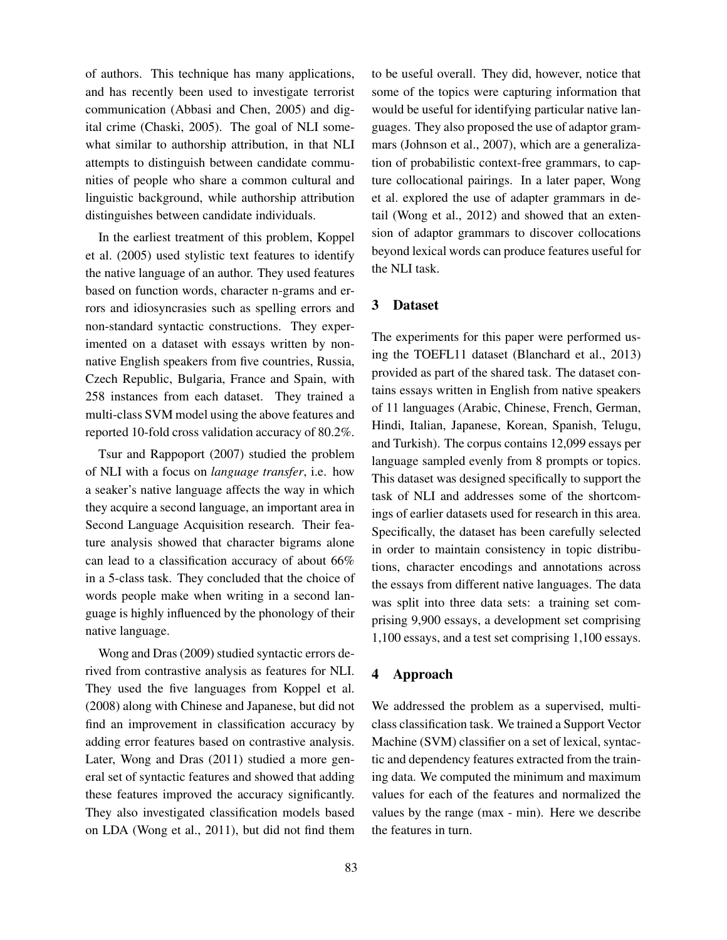of authors. This technique has many applications, and has recently been used to investigate terrorist communication (Abbasi and Chen, 2005) and digital crime (Chaski, 2005). The goal of NLI somewhat similar to authorship attribution, in that NLI attempts to distinguish between candidate communities of people who share a common cultural and linguistic background, while authorship attribution distinguishes between candidate individuals.

In the earliest treatment of this problem, Koppel et al. (2005) used stylistic text features to identify the native language of an author. They used features based on function words, character n-grams and errors and idiosyncrasies such as spelling errors and non-standard syntactic constructions. They experimented on a dataset with essays written by nonnative English speakers from five countries, Russia, Czech Republic, Bulgaria, France and Spain, with 258 instances from each dataset. They trained a multi-class SVM model using the above features and reported 10-fold cross validation accuracy of 80.2%.

Tsur and Rappoport (2007) studied the problem of NLI with a focus on *language transfer*, i.e. how a seaker's native language affects the way in which they acquire a second language, an important area in Second Language Acquisition research. Their feature analysis showed that character bigrams alone can lead to a classification accuracy of about 66% in a 5-class task. They concluded that the choice of words people make when writing in a second language is highly influenced by the phonology of their native language.

Wong and Dras (2009) studied syntactic errors derived from contrastive analysis as features for NLI. They used the five languages from Koppel et al. (2008) along with Chinese and Japanese, but did not find an improvement in classification accuracy by adding error features based on contrastive analysis. Later, Wong and Dras (2011) studied a more general set of syntactic features and showed that adding these features improved the accuracy significantly. They also investigated classification models based on LDA (Wong et al., 2011), but did not find them

to be useful overall. They did, however, notice that some of the topics were capturing information that would be useful for identifying particular native languages. They also proposed the use of adaptor grammars (Johnson et al., 2007), which are a generalization of probabilistic context-free grammars, to capture collocational pairings. In a later paper, Wong et al. explored the use of adapter grammars in detail (Wong et al., 2012) and showed that an extension of adaptor grammars to discover collocations beyond lexical words can produce features useful for the NLI task.

## 3 Dataset

The experiments for this paper were performed using the TOEFL11 dataset (Blanchard et al., 2013) provided as part of the shared task. The dataset contains essays written in English from native speakers of 11 languages (Arabic, Chinese, French, German, Hindi, Italian, Japanese, Korean, Spanish, Telugu, and Turkish). The corpus contains 12,099 essays per language sampled evenly from 8 prompts or topics. This dataset was designed specifically to support the task of NLI and addresses some of the shortcomings of earlier datasets used for research in this area. Specifically, the dataset has been carefully selected in order to maintain consistency in topic distributions, character encodings and annotations across the essays from different native languages. The data was split into three data sets: a training set comprising 9,900 essays, a development set comprising 1,100 essays, and a test set comprising 1,100 essays.

#### 4 Approach

We addressed the problem as a supervised, multiclass classification task. We trained a Support Vector Machine (SVM) classifier on a set of lexical, syntactic and dependency features extracted from the training data. We computed the minimum and maximum values for each of the features and normalized the values by the range (max - min). Here we describe the features in turn.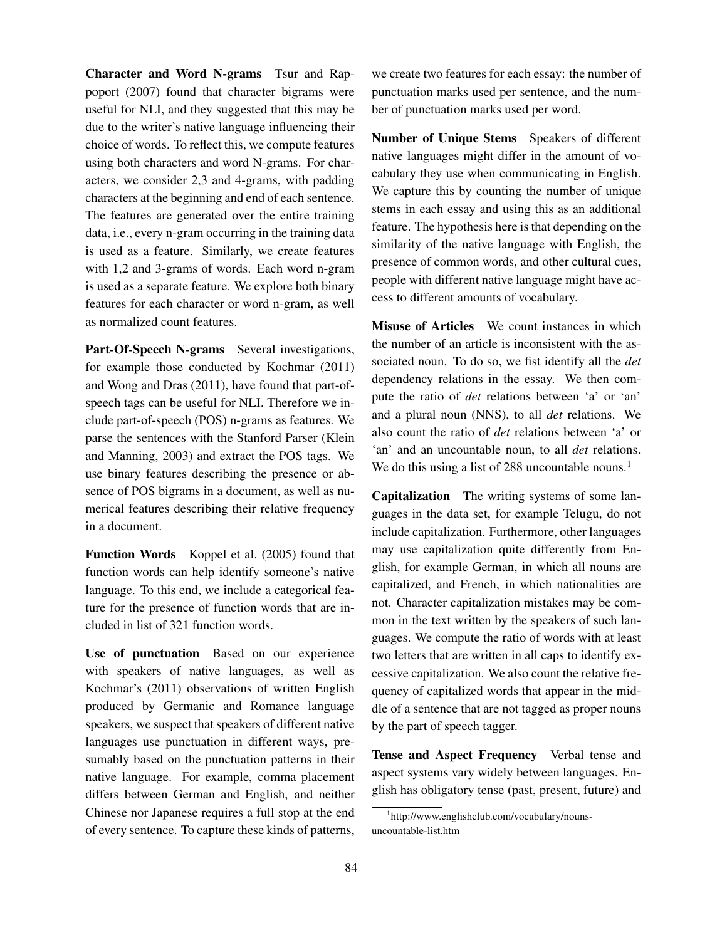Character and Word N-grams Tsur and Rappoport (2007) found that character bigrams were useful for NLI, and they suggested that this may be due to the writer's native language influencing their choice of words. To reflect this, we compute features using both characters and word N-grams. For characters, we consider 2,3 and 4-grams, with padding characters at the beginning and end of each sentence. The features are generated over the entire training data, i.e., every n-gram occurring in the training data is used as a feature. Similarly, we create features with 1,2 and 3-grams of words. Each word n-gram is used as a separate feature. We explore both binary features for each character or word n-gram, as well as normalized count features.

Part-Of-Speech N-grams Several investigations, for example those conducted by Kochmar (2011) and Wong and Dras (2011), have found that part-ofspeech tags can be useful for NLI. Therefore we include part-of-speech (POS) n-grams as features. We parse the sentences with the Stanford Parser (Klein and Manning, 2003) and extract the POS tags. We use binary features describing the presence or absence of POS bigrams in a document, as well as numerical features describing their relative frequency in a document.

Function Words Koppel et al. (2005) found that function words can help identify someone's native language. To this end, we include a categorical feature for the presence of function words that are included in list of 321 function words.

Use of punctuation Based on our experience with speakers of native languages, as well as Kochmar's (2011) observations of written English produced by Germanic and Romance language speakers, we suspect that speakers of different native languages use punctuation in different ways, presumably based on the punctuation patterns in their native language. For example, comma placement differs between German and English, and neither Chinese nor Japanese requires a full stop at the end of every sentence. To capture these kinds of patterns, we create two features for each essay: the number of punctuation marks used per sentence, and the number of punctuation marks used per word.

Number of Unique Stems Speakers of different native languages might differ in the amount of vocabulary they use when communicating in English. We capture this by counting the number of unique stems in each essay and using this as an additional feature. The hypothesis here is that depending on the similarity of the native language with English, the presence of common words, and other cultural cues, people with different native language might have access to different amounts of vocabulary.

Misuse of Articles We count instances in which the number of an article is inconsistent with the associated noun. To do so, we fist identify all the *det* dependency relations in the essay. We then compute the ratio of *det* relations between 'a' or 'an' and a plural noun (NNS), to all *det* relations. We also count the ratio of *det* relations between 'a' or 'an' and an uncountable noun, to all *det* relations. We do this using a list of 288 uncountable nouns.<sup>1</sup>

Capitalization The writing systems of some languages in the data set, for example Telugu, do not include capitalization. Furthermore, other languages may use capitalization quite differently from English, for example German, in which all nouns are capitalized, and French, in which nationalities are not. Character capitalization mistakes may be common in the text written by the speakers of such languages. We compute the ratio of words with at least two letters that are written in all caps to identify excessive capitalization. We also count the relative frequency of capitalized words that appear in the middle of a sentence that are not tagged as proper nouns by the part of speech tagger.

Tense and Aspect Frequency Verbal tense and aspect systems vary widely between languages. English has obligatory tense (past, present, future) and

<sup>1</sup> http://www.englishclub.com/vocabulary/nounsuncountable-list.htm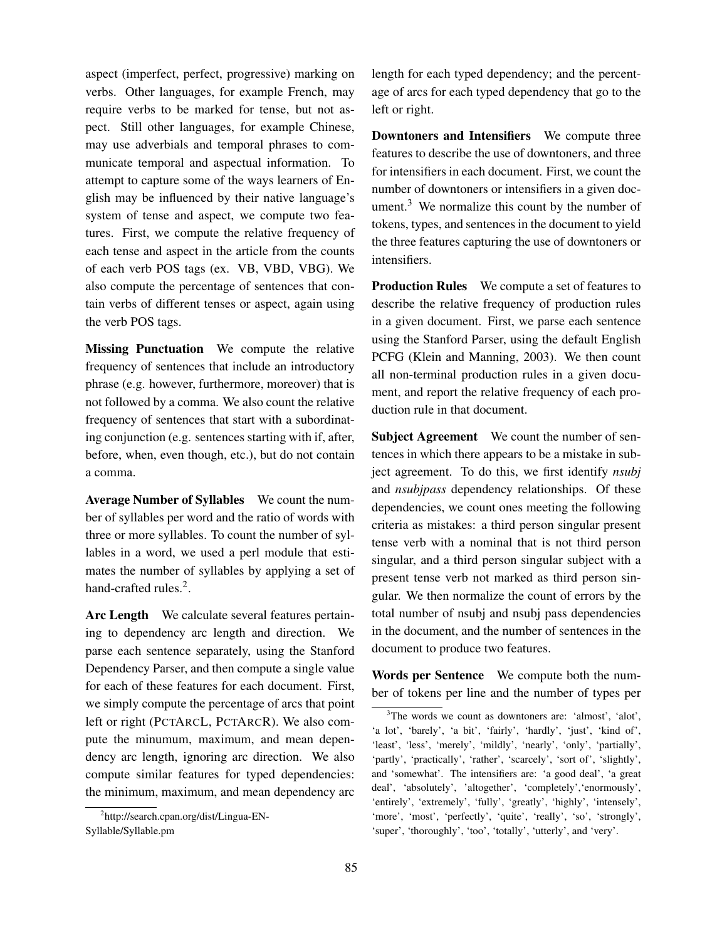aspect (imperfect, perfect, progressive) marking on verbs. Other languages, for example French, may require verbs to be marked for tense, but not aspect. Still other languages, for example Chinese, may use adverbials and temporal phrases to communicate temporal and aspectual information. To attempt to capture some of the ways learners of English may be influenced by their native language's system of tense and aspect, we compute two features. First, we compute the relative frequency of each tense and aspect in the article from the counts of each verb POS tags (ex. VB, VBD, VBG). We also compute the percentage of sentences that contain verbs of different tenses or aspect, again using the verb POS tags.

Missing Punctuation We compute the relative frequency of sentences that include an introductory phrase (e.g. however, furthermore, moreover) that is not followed by a comma. We also count the relative frequency of sentences that start with a subordinating conjunction (e.g. sentences starting with if, after, before, when, even though, etc.), but do not contain a comma.

Average Number of Syllables We count the number of syllables per word and the ratio of words with three or more syllables. To count the number of syllables in a word, we used a perl module that estimates the number of syllables by applying a set of hand-crafted rules.<sup>2</sup>.

Arc Length We calculate several features pertaining to dependency arc length and direction. We parse each sentence separately, using the Stanford Dependency Parser, and then compute a single value for each of these features for each document. First, we simply compute the percentage of arcs that point left or right (PCTARCL, PCTARCR). We also compute the minumum, maximum, and mean dependency arc length, ignoring arc direction. We also compute similar features for typed dependencies: the minimum, maximum, and mean dependency arc length for each typed dependency; and the percentage of arcs for each typed dependency that go to the left or right.

Downtoners and Intensifiers We compute three features to describe the use of downtoners, and three for intensifiers in each document. First, we count the number of downtoners or intensifiers in a given document. $3$  We normalize this count by the number of tokens, types, and sentences in the document to yield the three features capturing the use of downtoners or intensifiers.

Production Rules We compute a set of features to describe the relative frequency of production rules in a given document. First, we parse each sentence using the Stanford Parser, using the default English PCFG (Klein and Manning, 2003). We then count all non-terminal production rules in a given document, and report the relative frequency of each production rule in that document.

Subject Agreement We count the number of sentences in which there appears to be a mistake in subject agreement. To do this, we first identify *nsubj* and *nsubjpass* dependency relationships. Of these dependencies, we count ones meeting the following criteria as mistakes: a third person singular present tense verb with a nominal that is not third person singular, and a third person singular subject with a present tense verb not marked as third person singular. We then normalize the count of errors by the total number of nsubj and nsubj pass dependencies in the document, and the number of sentences in the document to produce two features.

Words per Sentence We compute both the number of tokens per line and the number of types per

<sup>2</sup> http://search.cpan.org/dist/Lingua-EN-Syllable/Syllable.pm

<sup>3</sup>The words we count as downtoners are: 'almost', 'alot', 'a lot', 'barely', 'a bit', 'fairly', 'hardly', 'just', 'kind of', 'least', 'less', 'merely', 'mildly', 'nearly', 'only', 'partially', 'partly', 'practically', 'rather', 'scarcely', 'sort of', 'slightly', and 'somewhat'. The intensifiers are: 'a good deal', 'a great deal', 'absolutely', 'altogether', 'completely','enormously', 'entirely', 'extremely', 'fully', 'greatly', 'highly', 'intensely', 'more', 'most', 'perfectly', 'quite', 'really', 'so', 'strongly', 'super', 'thoroughly', 'too', 'totally', 'utterly', and 'very'.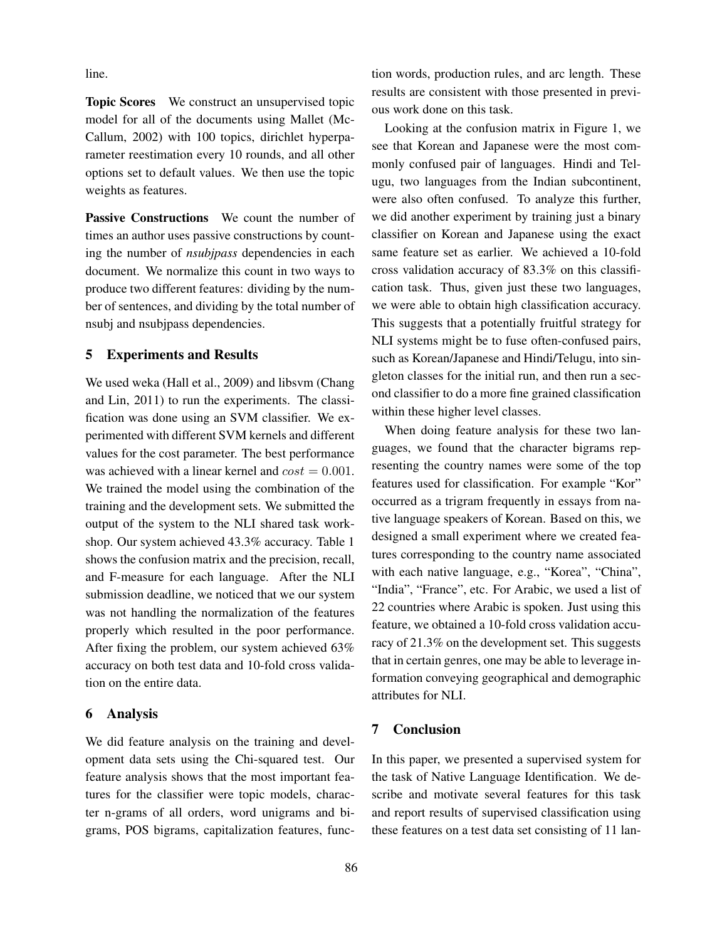line.

Topic Scores We construct an unsupervised topic model for all of the documents using Mallet (Mc-Callum, 2002) with 100 topics, dirichlet hyperparameter reestimation every 10 rounds, and all other options set to default values. We then use the topic weights as features.

Passive Constructions We count the number of times an author uses passive constructions by counting the number of *nsubjpass* dependencies in each document. We normalize this count in two ways to produce two different features: dividing by the number of sentences, and dividing by the total number of nsubj and nsubjpass dependencies.

# 5 Experiments and Results

We used weka (Hall et al., 2009) and libsvm (Chang and Lin, 2011) to run the experiments. The classification was done using an SVM classifier. We experimented with different SVM kernels and different values for the cost parameter. The best performance was achieved with a linear kernel and  $cost = 0.001$ . We trained the model using the combination of the training and the development sets. We submitted the output of the system to the NLI shared task workshop. Our system achieved 43.3% accuracy. Table 1 shows the confusion matrix and the precision, recall, and F-measure for each language. After the NLI submission deadline, we noticed that we our system was not handling the normalization of the features properly which resulted in the poor performance. After fixing the problem, our system achieved 63% accuracy on both test data and 10-fold cross validation on the entire data.

#### 6 Analysis

We did feature analysis on the training and development data sets using the Chi-squared test. Our feature analysis shows that the most important features for the classifier were topic models, character n-grams of all orders, word unigrams and bigrams, POS bigrams, capitalization features, function words, production rules, and arc length. These results are consistent with those presented in previous work done on this task.

Looking at the confusion matrix in Figure 1, we see that Korean and Japanese were the most commonly confused pair of languages. Hindi and Telugu, two languages from the Indian subcontinent, were also often confused. To analyze this further, we did another experiment by training just a binary classifier on Korean and Japanese using the exact same feature set as earlier. We achieved a 10-fold cross validation accuracy of 83.3% on this classification task. Thus, given just these two languages, we were able to obtain high classification accuracy. This suggests that a potentially fruitful strategy for NLI systems might be to fuse often-confused pairs, such as Korean/Japanese and Hindi/Telugu, into singleton classes for the initial run, and then run a second classifier to do a more fine grained classification within these higher level classes.

When doing feature analysis for these two languages, we found that the character bigrams representing the country names were some of the top features used for classification. For example "Kor" occurred as a trigram frequently in essays from native language speakers of Korean. Based on this, we designed a small experiment where we created features corresponding to the country name associated with each native language, e.g., "Korea", "China", "India", "France", etc. For Arabic, we used a list of 22 countries where Arabic is spoken. Just using this feature, we obtained a 10-fold cross validation accuracy of 21.3% on the development set. This suggests that in certain genres, one may be able to leverage information conveying geographical and demographic attributes for NLI.

#### 7 Conclusion

In this paper, we presented a supervised system for the task of Native Language Identification. We describe and motivate several features for this task and report results of supervised classification using these features on a test data set consisting of 11 lan-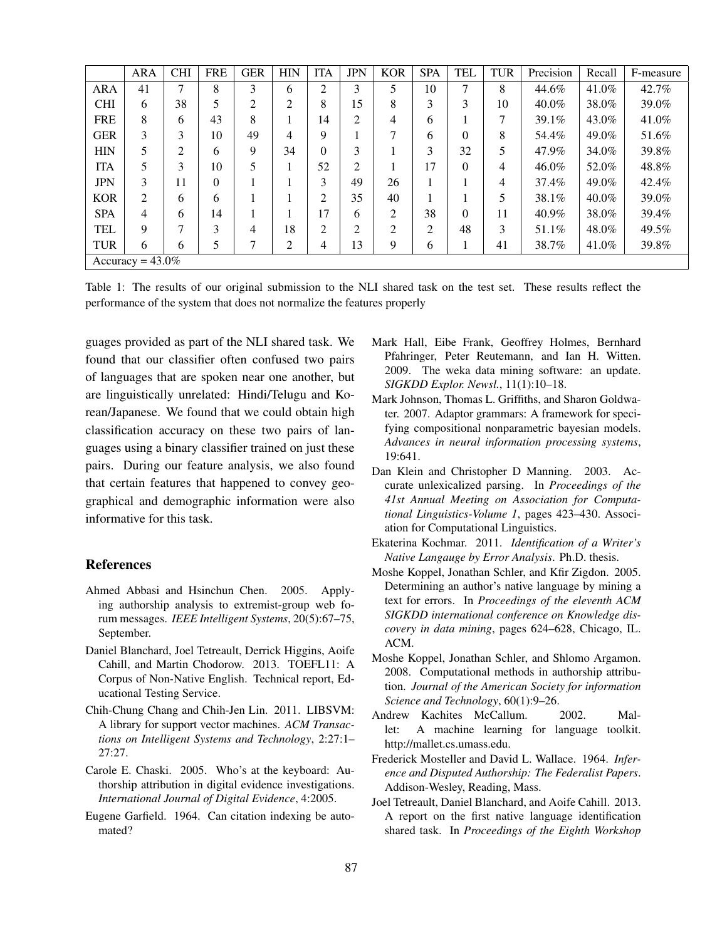|            | <b>ARA</b>          | <b>CHI</b> | <b>FRE</b>   | <b>GER</b> | <b>HIN</b>     | <b>ITA</b>     | <b>JPN</b>     | <b>KOR</b>     | <b>SPA</b> | <b>TEL</b> | <b>TUR</b> | Precision | Recall   | F-measure |
|------------|---------------------|------------|--------------|------------|----------------|----------------|----------------|----------------|------------|------------|------------|-----------|----------|-----------|
| <b>ARA</b> | 41                  | 7          | 8            | 3          | 6              | 2              | 3              | 5              | 10         | $\tau$     | 8          | 44.6%     | 41.0%    | 42.7%     |
| <b>CHI</b> | 6                   | 38         | 5            | 2          | 2              | 8              | 15             | 8              | 3          | 3          | 10         | 40.0%     | 38.0%    | 39.0%     |
| <b>FRE</b> | 8                   | 6          | 43           | 8          |                | 14             | $\overline{2}$ | 4              | 6          |            | 7          | 39.1%     | 43.0%    | 41.0%     |
| <b>GER</b> | 3                   | 3          | 10           | 49         | 4              | 9              |                | 7              | 6          | $\Omega$   | 8          | 54.4%     | 49.0%    | 51.6%     |
| <b>HIN</b> | 5                   | 2          | 6            | 9          | 34             | $\theta$       | 3              |                | 3          | 32         | 5          | 47.9%     | 34.0%    | 39.8%     |
| <b>ITA</b> | 5                   | 3          | 10           | 5          |                | 52             | 2              |                | 17         | 0          | 4          | 46.0%     | 52.0%    | 48.8%     |
| <b>JPN</b> | 3                   | 11         | $\mathbf{0}$ |            |                | 3              | 49             | 26             |            |            | 4          | 37.4%     | 49.0%    | 42.4%     |
| <b>KOR</b> | 2                   | 6          | 6            |            |                | 2              | 35             | 40             |            |            | 5          | 38.1%     | $40.0\%$ | 39.0%     |
| <b>SPA</b> | 4                   | 6          | 14           |            |                | 17             | 6              | $\overline{2}$ | 38         | 0          | 11         | 40.9%     | 38.0%    | 39.4%     |
| TEL        | 9                   | 7          | 3            | 4          | 18             | $\overline{2}$ | $\overline{2}$ | $\overline{2}$ | 2          | 48         | 3          | 51.1%     | 48.0%    | 49.5%     |
| <b>TUR</b> | 6                   | 6          | 5            |            | $\overline{2}$ | 4              | 13             | 9              | 6          |            | 41         | 38.7%     | 41.0%    | 39.8%     |
|            | Accuracy = $43.0\%$ |            |              |            |                |                |                |                |            |            |            |           |          |           |

Table 1: The results of our original submission to the NLI shared task on the test set. These results reflect the performance of the system that does not normalize the features properly

guages provided as part of the NLI shared task. We found that our classifier often confused two pairs of languages that are spoken near one another, but are linguistically unrelated: Hindi/Telugu and Korean/Japanese. We found that we could obtain high classification accuracy on these two pairs of languages using a binary classifier trained on just these pairs. During our feature analysis, we also found that certain features that happened to convey geographical and demographic information were also informative for this task.

#### References

- Ahmed Abbasi and Hsinchun Chen. 2005. Applying authorship analysis to extremist-group web forum messages. *IEEE Intelligent Systems*, 20(5):67–75, September.
- Daniel Blanchard, Joel Tetreault, Derrick Higgins, Aoife Cahill, and Martin Chodorow. 2013. TOEFL11: A Corpus of Non-Native English. Technical report, Educational Testing Service.
- Chih-Chung Chang and Chih-Jen Lin. 2011. LIBSVM: A library for support vector machines. *ACM Transactions on Intelligent Systems and Technology*, 2:27:1– 27:27.
- Carole E. Chaski. 2005. Who's at the keyboard: Authorship attribution in digital evidence investigations. *International Journal of Digital Evidence*, 4:2005.
- Eugene Garfield. 1964. Can citation indexing be automated?
- Mark Hall, Eibe Frank, Geoffrey Holmes, Bernhard Pfahringer, Peter Reutemann, and Ian H. Witten. 2009. The weka data mining software: an update. *SIGKDD Explor. Newsl.*, 11(1):10–18.
- Mark Johnson, Thomas L. Griffiths, and Sharon Goldwater. 2007. Adaptor grammars: A framework for specifying compositional nonparametric bayesian models. *Advances in neural information processing systems*, 19:641.
- Dan Klein and Christopher D Manning. 2003. Accurate unlexicalized parsing. In *Proceedings of the 41st Annual Meeting on Association for Computational Linguistics-Volume 1*, pages 423–430. Association for Computational Linguistics.
- Ekaterina Kochmar. 2011. *Identification of a Writer's Native Langauge by Error Analysis*. Ph.D. thesis.
- Moshe Koppel, Jonathan Schler, and Kfir Zigdon. 2005. Determining an author's native language by mining a text for errors. In *Proceedings of the eleventh ACM SIGKDD international conference on Knowledge discovery in data mining*, pages 624–628, Chicago, IL. ACM.
- Moshe Koppel, Jonathan Schler, and Shlomo Argamon. 2008. Computational methods in authorship attribution. *Journal of the American Society for information Science and Technology*, 60(1):9–26.
- Andrew Kachites McCallum. 2002. Mallet: A machine learning for language toolkit. http://mallet.cs.umass.edu.
- Frederick Mosteller and David L. Wallace. 1964. *Inference and Disputed Authorship: The Federalist Papers*. Addison-Wesley, Reading, Mass.
- Joel Tetreault, Daniel Blanchard, and Aoife Cahill. 2013. A report on the first native language identification shared task. In *Proceedings of the Eighth Workshop*